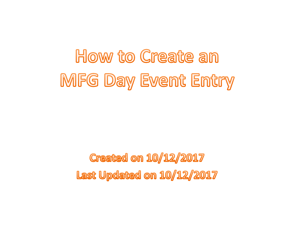## How to Create an MFG Day Event Entry

**Created on 10/12/2017** Last Updated on 10/12/2017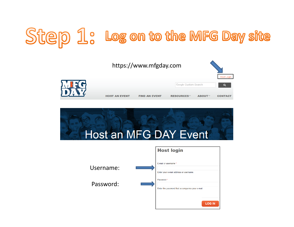## Step 1: Log on to the MFG Day site





|           | <b>Host login</b>                                              |
|-----------|----------------------------------------------------------------|
| Username: | F-mail or username *<br>Enter your e-mail address or username. |
| Password: | Password *<br>Enter the password that accompanies your e-mail. |
|           | <b>LOG IN</b>                                                  |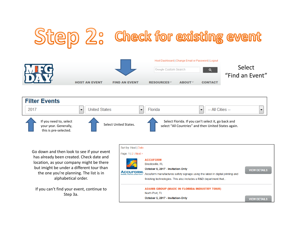





Go down and then look to see if your event has already been created. Check date and location, as your company might be there but imight be under <sup>a</sup> different tour than the one you're planning. The list is in alphabetical order.

If you can't find your event, continue to Step 3a.

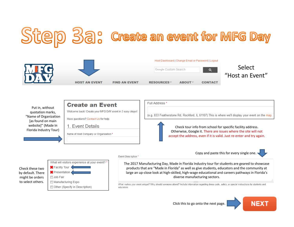## Step 3a: Create an event for MFG Day



Put in, without quotation marks, "Name of Organization [as found on main website]" (Made In Florida Industry Tour)



Name of Host Company or Organization \*

Check these twoby default. There might be orders to select others.

| What will visitors experience at your event? * |  |
|------------------------------------------------|--|
| Facility Tour                                  |  |
| Presentation                                   |  |
| <b>■ Job Fair</b>                              |  |
| Manufacturing Expo                             |  |
| Other (Specify in Description)                 |  |

Full Address \* (e.g. 833 Featherstone Rd, Rockford, IL 61107) This is where we'll display your event on the map.



Copy and paste this for every single one.



**Event Description \*** 

The 2017 Manufacturing Day, Made in Florida Industry tour for students are geared to showcase products that are "Made in Florida" as well as give students, educators and the community at large an up‐close look at high‐skilled, high‐wage educational and careers pathways in Florida's diverse manufacturing sectors.

What makes your event unique? Why should someone attend? Include information regarding dress code, safety, or special instructions for students and educators.

Click this to go onto the next page.

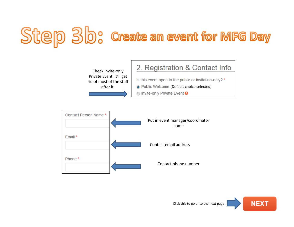## Step 3b: Create an event for MFG Day